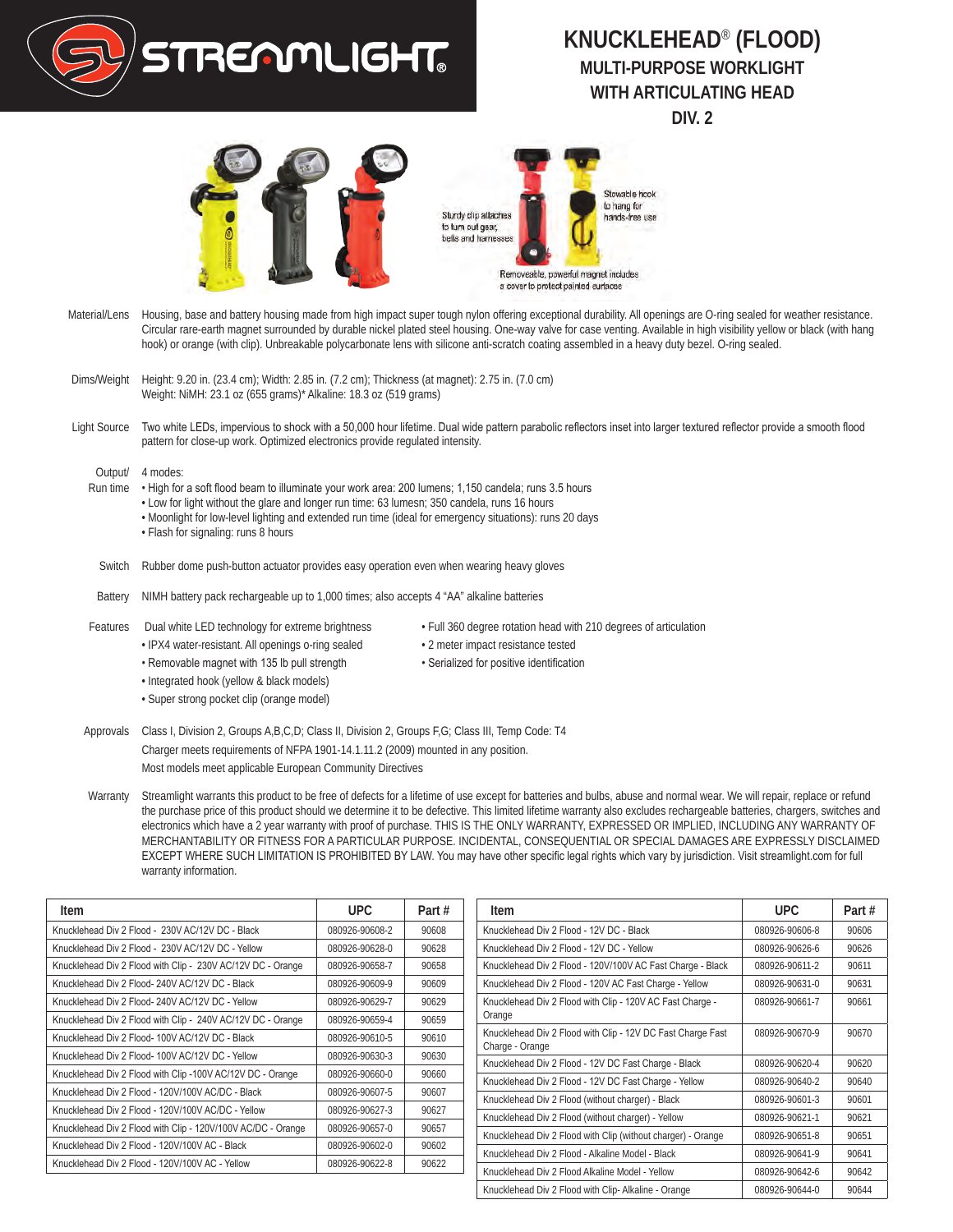

## **KNUCKLEHEAD**® **(FLOOD) MULTI-PURPOSE WORKLIGHT WITH ARTICULATING HEAD DIV. 2**



- Material/Lens Housing, base and battery housing made from high impact super tough nylon offering exceptional durability. All openings are O-ring sealed for weather resistance. Circular rare-earth magnet surrounded by durable nickel plated steel housing. One-way valve for case venting. Available in high visibility yellow or black (with hang hook) or orange (with clip). Unbreakable polycarbonate lens with silicone anti-scratch coating assembled in a heavy duty bezel. O-ring sealed.
- Dims/Weight Height: 9.20 in. (23.4 cm); Width: 2.85 in. (7.2 cm); Thickness (at magnet): 2.75 in. (7.0 cm) Weight: NiMH: 23.1 oz (655 grams)\* Alkaline: 18.3 oz (519 grams)
- Light Source Two white LEDs, impervious to shock with a 50,000 hour lifetime. Dual wide pattern parabolic reflectors inset into larger textured reflector provide a smooth flood pattern for close-up work. Optimized electronics provide regulated intensity.

Output/ 4 modes:

- Run time High for a soft flood beam to illuminate your work area: 200 lumens; 1,150 candela; runs 3.5 hours
	- Low for light without the glare and longer run time: 63 lumesn; 350 candela, runs 16 hours
	- Moonlight for low-level lighting and extended run time (ideal for emergency situations): runs 20 days
	- Flash for signaling: runs 8 hours
- Switch Rubber dome push-button actuator provides easy operation even when wearing heavy gloves
- Battery NIMH battery pack rechargeable up to 1,000 times; also accepts 4 "AA" alkaline batteries
- Features Dual white LED technology for extreme brightness Full 360 degree rotation head with 210 degrees of articulation
	-
	- IPX4 water-resistant. All openings o-ring sealed 2 meter impact resistance tested
	- Integrated hook (yellow & black models)
	- Super strong pocket clip (orange model)
- 
- 
- 
- 
- 
- Removable magnet with 135 lb pull strength Serialized for positive identification

Approvals Class I, Division 2, Groups A,B,C,D; Class II, Division 2, Groups F,G; Class III, Temp Code: T4 Charger meets requirements of NFPA 1901-14.1.11.2 (2009) mounted in any position. Most models meet applicable European Community Directives

Warranty Streamlight warrants this product to be free of defects for a lifetime of use except for batteries and bulbs, abuse and normal wear. We will repair, replace or refund the purchase price of this product should we determine it to be defective. This limited lifetime warranty also excludes rechargeable batteries, chargers, switches and electronics which have a 2 year warranty with proof of purchase. THIS IS THE ONLY WARRANTY, EXPRESSED OR IMPLIED, INCLUDING ANY WARRANTY OF MERCHANTABILITY OR FITNESS FOR A PARTICULAR PURPOSE. INCIDENTAL, CONSEQUENTIAL OR SPECIAL DAMAGES ARE EXPRESSLY DISCLAIMED EXCEPT WHERE SUCH LIMITATION IS PROHIBITED BY LAW. You may have other specific legal rights which vary by jurisdiction. Visit streamlight.com for full warranty information.

| Item                                                         | UPC.           | Part # |
|--------------------------------------------------------------|----------------|--------|
| Knucklehead Div 2 Flood - 230V AC/12V DC - Black             | 080926-90608-2 | 90608  |
| Knucklehead Div 2 Flood - 230V AC/12V DC - Yellow            | 080926-90628-0 | 90628  |
| Knucklehead Div 2 Flood with Clip - 230V AC/12V DC - Orange  | 080926-90658-7 | 90658  |
| Knucklehead Div 2 Flood- 240V AC/12V DC - Black              | 080926-90609-9 | 90609  |
| Knucklehead Div 2 Flood- 240V AC/12V DC - Yellow             | 080926-90629-7 | 90629  |
| Knucklehead Div 2 Flood with Clip - 240V AC/12V DC - Orange  | 080926-90659-4 | 90659  |
| Knucklehead Div 2 Flood- 100V AC/12V DC - Black              | 080926-90610-5 | 90610  |
| Knucklehead Div 2 Flood- 100V AC/12V DC - Yellow             | 080926-90630-3 | 90630  |
| Knucklehead Div 2 Flood with Clip -100V AC/12V DC - Orange   | 080926-90660-0 | 90660  |
| Knucklehead Div 2 Flood - 120V/100V AC/DC - Black            | 080926-90607-5 | 90607  |
| Knucklehead Div 2 Flood - 120V/100V AC/DC - Yellow           | 080926-90627-3 | 90627  |
| Knucklehead Div 2 Flood with Clip - 120V/100V AC/DC - Orange | 080926-90657-0 | 90657  |
| Knucklehead Div 2 Flood - 120V/100V AC - Black               | 080926-90602-0 | 90602  |
| Knucklehead Div 2 Flood - 120V/100V AC - Yellow              | 080926-90622-8 | 90622  |

| Item                                                                           | UPC.           | Part# |
|--------------------------------------------------------------------------------|----------------|-------|
| Knucklehead Div 2 Flood - 12V DC - Black                                       | 080926-90606-8 | 90606 |
| Knucklehead Div 2 Flood - 12V DC - Yellow                                      | 080926-90626-6 | 90626 |
| Knucklehead Div 2 Flood - 120V/100V AC Fast Charge - Black                     | 080926-90611-2 | 90611 |
| Knucklehead Div 2 Flood - 120V AC Fast Charge - Yellow                         | 080926-90631-0 | 90631 |
| Knucklehead Div 2 Flood with Clip - 120V AC Fast Charge -<br>Orange            | 080926-90661-7 | 90661 |
| Knucklehead Div 2 Flood with Clip - 12V DC Fast Charge Fast<br>Charge - Orange | 080926-90670-9 | 90670 |
| Knucklehead Div 2 Flood - 12V DC Fast Charge - Black                           | 080926-90620-4 | 90620 |
| Knucklehead Div 2 Flood - 12V DC Fast Charge - Yellow                          | 080926-90640-2 | 90640 |
| Knucklehead Div 2 Flood (without charger) - Black                              | 080926-90601-3 | 90601 |
| Knucklehead Div 2 Flood (without charger) - Yellow                             | 080926-90621-1 | 90621 |
| Knucklehead Div 2 Flood with Clip (without charger) - Orange                   | 080926-90651-8 | 90651 |
| Knucklehead Div 2 Flood - Alkaline Model - Black                               | 080926-90641-9 | 90641 |
| Knucklehead Div 2 Flood Alkaline Model - Yellow                                | 080926-90642-6 | 90642 |
| Knucklehead Div 2 Flood with Clip-Alkaline - Orange                            | 080926-90644-0 | 90644 |